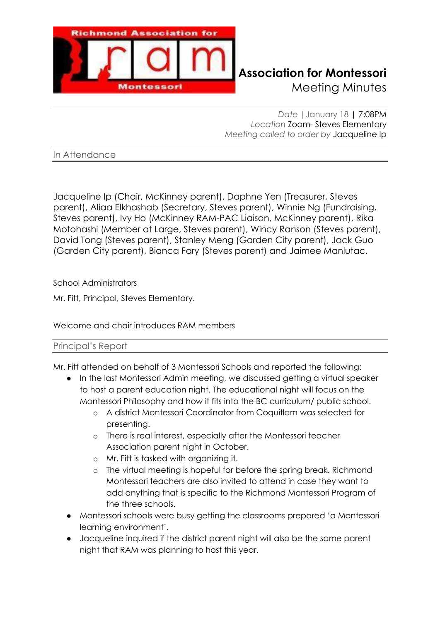

## **Richmond Association for Montessori** Meeting Minutes

*Date |*January 18 | 7:08PM *Location* Zoom- Steves Elementary *Meeting called to order by* Jacqueline Ip

In Attendance

Jacqueline Ip (Chair, McKinney parent), Daphne Yen (Treasurer, Steves parent), Aliaa Elkhashab (Secretary, Steves parent), Winnie Ng (Fundraising, Steves parent), Ivy Ho (McKinney RAM-PAC Liaison, McKinney parent), Rika Motohashi (Member at Large, Steves parent), Wincy Ranson (Steves parent), David Tong (Steves parent), Stanley Meng (Garden City parent), Jack Guo (Garden City parent), Bianca Fary (Steves parent) and Jaimee Manlutac.

School Administrators

Mr. Fitt, Principal, Steves Elementary.

Welcome and chair introduces RAM members

#### Principal's Report

Mr. Fitt attended on behalf of 3 Montessori Schools and reported the following:

- In the last Montessori Admin meeting, we discussed getting a virtual speaker to host a parent education night. The educational night will focus on the Montessori Philosophy and how it fits into the BC curriculum/ public school.
	- o A district Montessori Coordinator from Coquitlam was selected for presenting.
	- o There is real interest, especially after the Montessori teacher Association parent night in October.
	- o Mr. Fitt is tasked with organizing it.
	- o The virtual meeting is hopeful for before the spring break. Richmond Montessori teachers are also invited to attend in case they want to add anything that is specific to the Richmond Montessori Program of the three schools.
- Montessori schools were busy getting the classrooms prepared 'a Montessori learning environment'.
- Jacqueline inquired if the district parent night will also be the same parent night that RAM was planning to host this year.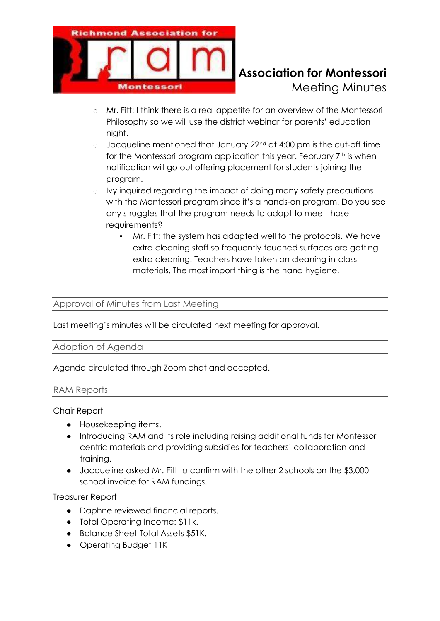

## **Richmond Association for Montessori** Meeting Minutes

- o Mr. Fitt: I think there is a real appetite for an overview of the Montessori Philosophy so we will use the district webinar for parents' education night.
- o Jacqueline mentioned that January 22nd at 4:00 pm is the cut-off time for the Montessori program application this year. February 7<sup>th</sup> is when notification will go out offering placement for students joining the program.
- o Ivy inquired regarding the impact of doing many safety precautions with the Montessori program since it's a hands-on program. Do you see any struggles that the program needs to adapt to meet those requirements?
	- Mr. Fitt: the system has adapted well to the protocols. We have extra cleaning staff so frequently touched surfaces are getting extra cleaning. Teachers have taken on cleaning in-class materials. The most import thing is the hand hygiene.

### Approval of Minutes from Last Meeting

Last meeting's minutes will be circulated next meeting for approval.

#### Adoption of Agenda

Agenda circulated through Zoom chat and accepted.

#### RAM Reports

#### Chair Report

- Housekeeping items.
- Introducing RAM and its role including raising additional funds for Montessori centric materials and providing subsidies for teachers' collaboration and training.
- Jacqueline asked Mr. Fitt to confirm with the other 2 schools on the \$3,000 school invoice for RAM fundings.

Treasurer Report

- Daphne reviewed financial reports.
- Total Operating Income: \$11k.
- Balance Sheet Total Assets \$51K.
- Operating Budget 11K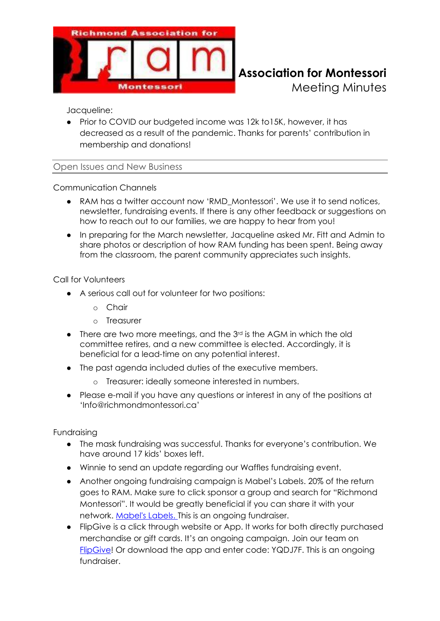

# **Richmond Association for Montessori**

Meeting Minutes

Jacqueline:

• Prior to COVID our budgeted income was 12k to 15K, however, it has decreased as a result of the pandemic. Thanks for parents' contribution in membership and donations!

Open Issues and New Business

Communication Channels

- RAM has a twitter account now 'RMD\_Montessori'. We use it to send notices, newsletter, fundraising events. If there is any other feedback or suggestions on how to reach out to our families, we are happy to hear from you!
- In preparing for the March newsletter, Jacqueline asked Mr. Fitt and Admin to share photos or description of how RAM funding has been spent. Being away from the classroom, the parent community appreciates such insights.

Call for Volunteers

- A serious call out for volunteer for two positions:
	- o Chair
	- o Treasurer
- $\bullet$  There are two more meetings, and the  $3<sup>rd</sup>$  is the AGM in which the old committee retires, and a new committee is elected. Accordingly, it is beneficial for a lead-time on any potential interest.
- The past agenda included duties of the executive members.
	- o Treasurer: ideally someone interested in numbers.
- Please e-mail if you have any questions or interest in any of the positions at 'Info@richmondmontessori.ca'

Fundraising

- The mask fundraising was successful. Thanks for everyone's contribution. We have around 17 kids' boxes left.
- Winnie to send an update regarding our Waffles fundraising event.
- Another ongoing fundraising campaign is Mabel's Labels. 20% of the return goes to RAM. Make sure to click sponsor a group and search for "Richmond Montessori". It would be greatly beneficial if you can share it with your network. [Mabel's Labels.](https://mabelslabels.ca/en_CA/fundraising/support/) This is an ongoing fundraiser.
- FlipGive is a click through website or App. It works for both directly purchased merchandise or gift cards. It's an ongoing campaign. Join our team on [FlipGive!](https://scotiabankhockeyclub.flipgive.com/f/1172093) Or download the app and enter code: YQDJ7F. This is an ongoing fundraiser.